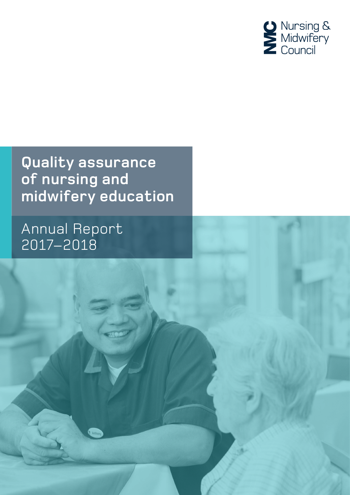

### **Quality assurance of nursing and midwifery education**

1 Quality assurance of nursing and midwifery education Annual Report 2017–2018

### Annual Report 2017–2018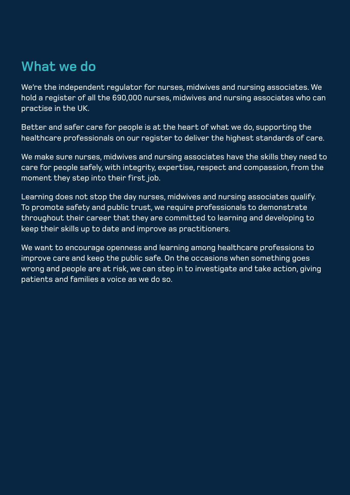We're the independent regulator for nurses, midwives and nursing associates. We hold a register of all the 690,000 nurses, midwives and nursing associates who can practise in the UK.

Better and safer care for people is at the heart of what we do, supporting the healthcare professionals on our register to deliver the highest standards of care.

We make sure nurses, midwives and nursing associates have the skills they need to care for people safely, with integrity, expertise, respect and compassion, from the moment they step into their first job.

Learning does not stop the day nurses, midwives and nursing associates qualify. To promote safety and public trust, we require professionals to demonstrate throughout their career that they are committed to learning and developing to keep their skills up to date and improve as practitioners.

We want to encourage openness and learning among healthcare professions to improve care and keep the public safe. On the occasions when something goes wrong and people are at risk, we can step in to investigate and take action, giving patients and families a voice as we do so.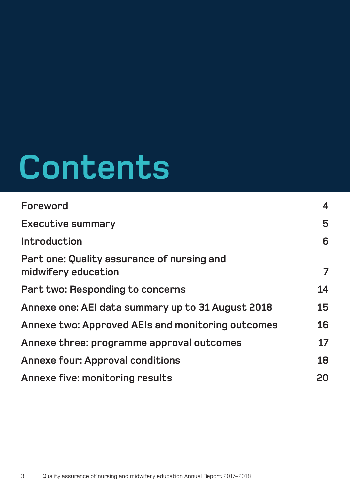# **Contents**

| Foreword                                                          | $\overline{\mathbf{4}}$ |
|-------------------------------------------------------------------|-------------------------|
| <b>Executive summary</b>                                          | 5                       |
| Introduction                                                      | 6                       |
| Part one: Quality assurance of nursing and<br>midwifery education | $\overline{7}$          |
| Part two: Responding to concerns                                  | 14                      |
| Annexe one: AEI data summary up to 31 August 2018                 | 15                      |
| Annexe two: Approved AEIs and monitoring outcomes                 | 16                      |
| Annexe three: programme approval outcomes                         | 17                      |
| <b>Annexe four: Approval conditions</b>                           | 18                      |
| Annexe five: monitoring results                                   | 20                      |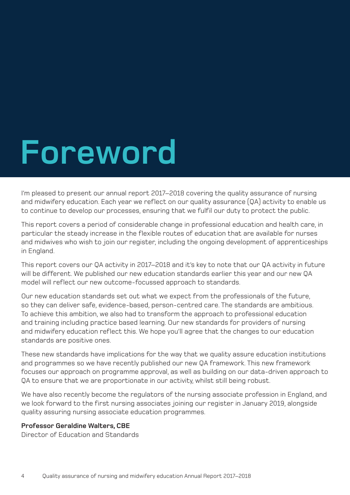## **Foreword**

I'm pleased to present our annual report 2017–2018 covering the quality assurance of nursing and midwifery education. Each year we reflect on our quality assurance (QA) activity to enable us to continue to develop our processes, ensuring that we fulfil our duty to protect the public.

This report covers a period of considerable change in professional education and health care, in particular the steady increase in the flexible routes of education that are available for nurses and midwives who wish to join our register, including the ongoing development of apprenticeships in England.

This report covers our QA activity in 2017–2018 and it's key to note that our QA activity in future will be different. We published our new education standards earlier this year and our new QA model will reflect our new outcome-focussed approach to standards.

Our new education standards set out what we expect from the professionals of the future, so they can deliver safe, evidence-based, person-centred care. The standards are ambitious. To achieve this ambition, we also had to transform the approach to professional education and training including practice based learning. Our new standards for providers of nursing and midwifery education reflect this. We hope you'll agree that the changes to our education standards are positive ones.

These new standards have implications for the way that we quality assure education institutions and programmes so we have recently published our new QA framework. This new framework focuses our approach on programme approval, as well as building on our data-driven approach to QA to ensure that we are proportionate in our activity, whilst still being robust.

We have also recently become the regulators of the nursing associate profession in England, and we look forward to the first nursing associates joining our register in January 2019, alongside quality assuring nursing associate education programmes.

#### **Professor Geraldine Walters, CBE**

Director of Education and Standards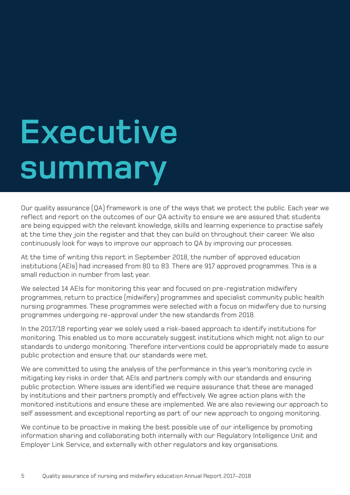# **Executive summary**

Our quality assurance (QA) framework is one of the ways that we protect the public. Each year we reflect and report on the outcomes of our QA activity to ensure we are assured that students are being equipped with the relevant knowledge, skills and learning experience to practise safely at the time they join the register and that they can build on throughout their career. We also continuously look for ways to improve our approach to QA by improving our processes.

At the time of writing this report in September 2018, the number of approved education institutions (AEIs) had increased from 80 to 83. There are 917 approved programmes. This is a small reduction in number from last year.

We selected 14 AEIs for monitoring this year and focused on pre-registration midwifery programmes, return to practice (midwifery) programmes and specialist community public health nursing programmes. These programmes were selected with a focus on midwifery due to nursing programmes undergoing re-approval under the new standards from 2018.

In the 2017/18 reporting year we solely used a risk-based approach to identify institutions for monitoring. This enabled us to more accurately suggest institutions which might not align to our standards to undergo monitoring. Therefore interventions could be appropriately made to assure public protection and ensure that our standards were met.

We are committed to using the analysis of the performance in this year's monitoring cycle in mitigating key risks in order that AEIs and partners comply with our standards and ensuring public protection. Where issues are identified we require assurance that these are managed by institutions and their partners promptly and effectively. We agree action plans with the monitored institutions and ensure these are implemented. We are also reviewing our approach to self assessment and exceptional reporting as part of our new approach to ongoing monitoring.

We continue to be proactive in making the best possible use of our intelligence by promoting information sharing and collaborating both internally with our Regulatory Intelligence Unit and Employer Link Service, and externally with other regulators and key organisations.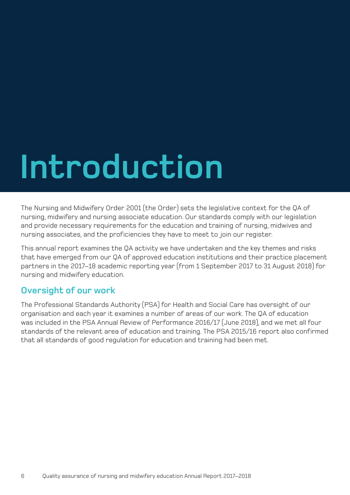# **Introduction**

The Nursing and Midwifery Order 2001 (the Order) sets the legislative context for the QA of nursing, midwifery and nursing associate education. Our standards comply with our legislation and provide necessary requirements for the education and training of nursing, midwives and nursing associates, and the proficiencies they have to meet to join our register.

This annual report examines the QA activity we have undertaken and the key themes and risks that have emerged from our QA of approved education institutions and their practice placement partners in the 2017–18 academic reporting year (from 1 September 2017 to 31 August 2018) for nursing and midwifery education.

#### **Oversight of our work**

The Professional Standards Authority (PSA) for Health and Social Care has oversight of our organisation and each year it examines a number of areas of our work. The QA of education was included in the PSA Annual Review of Performance 2016/17 (June 2018), and we met all four standards of the relevant area of education and training. The PSA 2015/16 report also confirmed that all standards of good regulation for education and training had been met.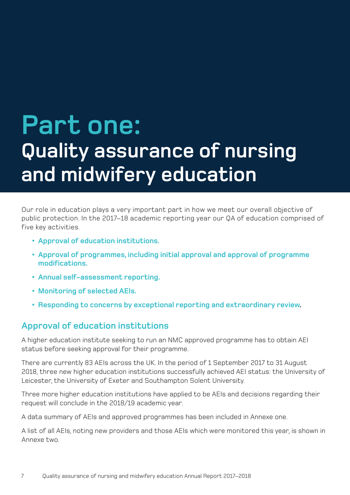## **Part one: Quality assurance of nursing and midwifery education**

Our role in education plays a very important part in how we meet our overall objective of public protection. In the 2017–18 academic reporting year our QA of education comprised of five key activities.

- **• Approval of education institutions.**
- **• Approval of programmes, including initial approval and approval of programme modifications.**
- **• Annual self-assessment reporting.**
- **• Monitoring of selected AEIs.**
- **• Responding to concerns by exceptional reporting and extraordinary review.**

#### **Approval of education institutions**

A higher education institute seeking to run an NMC approved programme has to obtain AEI status before seeking approval for their programme.

There are currently 83 AEIs across the UK. In the period of 1 September 2017 to 31 August 2018, three new higher education institutions successfully achieved AEI status: the University of Leicester, the University of Exeter and Southampton Solent University.

Three more higher education institutions have applied to be AEIs and decisions regarding their request will conclude in the 2018/19 academic year.

A data summary of AEIs and approved programmes has been included in Annexe one.

A list of all AEIs, noting new providers and those AEIs which were monitored this year, is shown in Annexe two.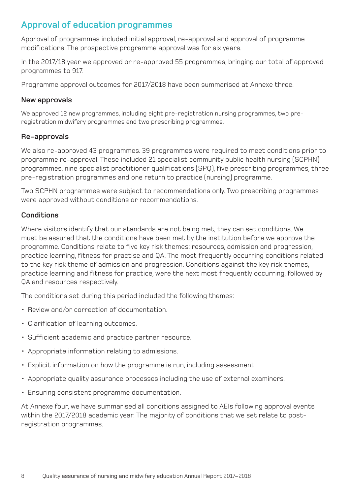#### **Approval of education programmes**

Approval of programmes included initial approval, re-approval and approval of programme modifications. The prospective programme approval was for six years.

In the 2017/18 year we approved or re-approved 55 programmes, bringing our total of approved programmes to 917.

Programme approval outcomes for 2017/2018 have been summarised at Annexe three.

#### **New approvals**

We approved 12 new programmes, including eight pre-registration nursing programmes, two preregistration midwifery programmes and two prescribing programmes.

#### **Re-approvals**

We also re-approved 43 programmes. 39 programmes were required to meet conditions prior to programme re-approval. These included 21 specialist community public health nursing (SCPHN) programmes, nine specialist practitioner qualifications (SPQ), five prescribing programmes, three pre-registration programmes and one return to practice (nursing) programme.

Two SCPHN programmes were subject to recommendations only. Two prescribing programmes were approved without conditions or recommendations.

#### **Conditions**

Where visitors identify that our standards are not being met, they can set conditions. We must be assured that the conditions have been met by the institution before we approve the programme. Conditions relate to five key risk themes: resources, admission and progression, practice learning, fitness for practise and QA. The most frequently occurring conditions related to the key risk theme of admission and progression. Conditions against the key risk themes, practice learning and fitness for practice, were the next most frequently occurring, followed by QA and resources respectively.

The conditions set during this period included the following themes:

- Review and/or correction of documentation.
- Clarification of learning outcomes.
- Sufficient academic and practice partner resource.
- Appropriate information relating to admissions.
- Explicit information on how the programme is run, including assessment.
- Appropriate quality assurance processes including the use of external examiners.
- Ensuring consistent programme documentation.

At Annexe four, we have summarised all conditions assigned to AEIs following approval events within the 2017/2018 academic year. The majority of conditions that we set relate to postregistration programmes.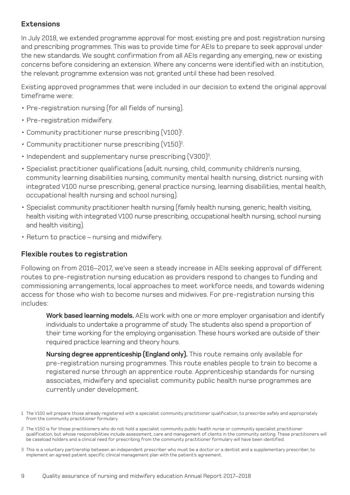#### **Extensions**

In July 2018, we extended programme approval for most existing pre and post registration nursing and prescribing programmes. This was to provide time for AEIs to prepare to seek approval under the new standards. We sought confirmation from all AEIs regarding any emerging, new or existing concerns before considering an extension. Where any concerns were identified with an institution, the relevant programme extension was not granted until these had been resolved.

Existing approved programmes that were included in our decision to extend the original approval timeframe were:

- Pre-registration nursing (for all fields of nursing).
- Pre-registration midwifery.
- Community practitioner nurse prescribing  $(V100)^1$ .
- Community practitioner nurse prescribing (V150)<sup>2</sup>.
- Independent and supplementary nurse prescribing (V300)<sup>3</sup>.
- Specialist practitioner qualifications (adult nursing, child, community children's nursing, community learning disabilities nursing, community mental health nursing, district nursing with integrated V100 nurse prescribing, general practice nursing, learning disabilities, mental health, occupational health nursing and school nursing).
- Specialist community practitioner health nursing (family health nursing, generic, health visiting, health visiting with integrated V100 nurse prescribing, occupational health nursing, school nursing and health visiting).
- Return to practice nursing and midwifery.

#### **Flexible routes to registration**

Following on from 2016–2017, we've seen a steady increase in AEIs seeking approval of different routes to pre-registration nursing education as providers respond to changes to funding and commissioning arrangements, local approaches to meet workforce needs, and towards widening access for those who wish to become nurses and midwives. For pre-registration nursing this includes:

**Work based learning models.** AEIs work with one or more employer organisation and identify individuals to undertake a programme of study. The students also spend a proportion of their time working for the employing organisation. These hours worked are outside of their required practice learning and theory hours.

**Nursing degree apprenticeship (England only).** This route remains only available for pre-registration nursing programmes. This route enables people to train to become a registered nurse through an apprentice route. Apprenticeship standards for nursing associates, midwifery and specialist community public health nurse programmes are currently under development.

3 This is a voluntary partnership between an independent prescriber who must be a doctor or a dentist and a supplementary prescriber, to implement an agreed patient specific clinical management plan with the patient's agreement.

<sup>1</sup> The V100 will prepare those already registered with a specialist community practitioner qualification, to prescribe safely and appropriately from the community practitioner formulary.

<sup>2</sup> The V150 is for those practitioners who do not hold a specialist community public health nurse or community specialist practitioner qualification, but whose responsibilities include assessment, care and management of clients in the community setting. These practitioners will be caseload holders and a clinical need for prescribing from the community practitioner formulary will have been identified.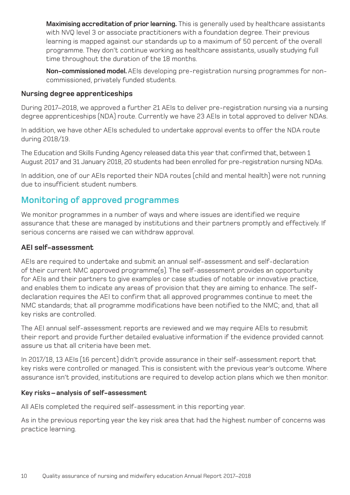**Maximising accreditation of prior learning.** This is generally used by healthcare assistants with NVQ level 3 or associate practitioners with a foundation degree. Their previous learning is mapped against our standards up to a maximum of 50 percent of the overall programme. They don't continue working as healthcare assistants, usually studying full time throughout the duration of the 18 months.

**Non-commissioned model.** AEIs developing pre-registration nursing programmes for noncommissioned, privately funded students.

#### **Nursing degree apprenticeships**

During 2017–2018, we approved a further 21 AEIs to deliver pre-registration nursing via a nursing degree apprenticeships (NDA) route. Currently we have 23 AEIs in total approved to deliver NDAs.

In addition, we have other AEIs scheduled to undertake approval events to offer the NDA route during 2018/19.

The Education and Skills Funding Agency released data this year that confirmed that, between 1 August 2017 and 31 January 2018, 20 students had been enrolled for pre-registration nursing NDAs.

In addition, one of our AEIs reported their NDA routes (child and mental health) were not running due to insufficient student numbers.

#### **Monitoring of approved programmes**

We monitor programmes in a number of ways and where issues are identified we require assurance that these are managed by institutions and their partners promptly and effectively. If serious concerns are raised we can withdraw approval.

#### **AEI self-assessment**

AEIs are required to undertake and submit an annual self-assessment and self-declaration of their current NMC approved programme(s). The self-assessment provides an opportunity for AEIs and their partners to give examples or case studies of notable or innovative practice, and enables them to indicate any areas of provision that they are aiming to enhance. The selfdeclaration requires the AEI to confirm that all approved programmes continue to meet the NMC standards; that all programme modifications have been notified to the NMC; and, that all key risks are controlled.

The AEI annual self-assessment reports are reviewed and we may require AEIs to resubmit their report and provide further detailed evaluative information if the evidence provided cannot assure us that all criteria have been met.

In 2017/18, 13 AEIs (16 percent) didn't provide assurance in their self-assessment report that key risks were controlled or managed. This is consistent with the previous year's outcome. Where assurance isn't provided, institutions are required to develop action plans which we then monitor.

#### **Key risks – analysis of self-assessment**

All AEIs completed the required self-assessment in this reporting year.

As in the previous reporting year the key risk area that had the highest number of concerns was practice learning.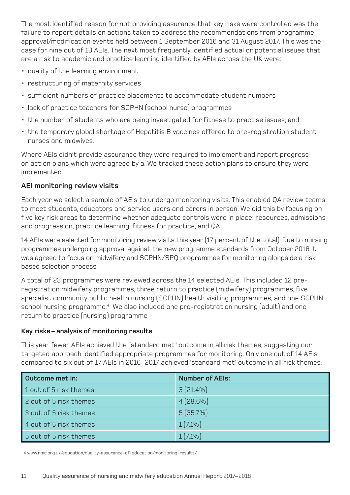The most identified reason for not providing assurance that key risks were controlled was the failure to report details on actions taken to address the recommendations from programme approval/modification events held between 1 September 2016 and 31 August 2017. This was the case for nine out of 13 AEIs. The next most frequently identified actual or potential issues that are a risk to academic and practice learning identified by AEIs across the UK were:

- quality of the learning environment
- restructuring of maternity services
- sufficient numbers of practice placements to accommodate student numbers
- lack of practice teachers for SCPHN (school nurse) programmes
- the number of students who are being investigated for fitness to practise issues, and
- the temporary global shortage of Hepatitis B vaccines offered to pre-registration student nurses and midwives.

Where AEIs didn't provide assurance they were required to implement and report progress on action plans which were agreed by a. We tracked these action plans to ensure they were implemented.

#### **AEI monitoring review visits**

Each year we select a sample of AEIs to undergo monitoring visits. This enabled QA review teams to meet students, educators and service users and carers in person. We did this by focusing on five key risk areas to determine whether adequate controls were in place: resources, admissions and progression, practice learning, fitness for practice, and QA.

14 AEIs were selected for monitoring review visits this year (17 percent of the total). Due to nursing programmes undergoing approval against the new programme standards from October 2018 it was agreed to focus on midwifery and SCPHN/SPQ programmes for monitoring alongside a risk based selection process.

A total of 23 programmes were reviewed across the 14 selected AEIs. This included 12 preregistration midwifery programmes, three return to practice (midwifery) programmes, five specialist community public health nursing (SCPHN) health visiting programmes, and one SCPHN school nursing programme.<sup>4</sup> We also included one pre-registration nursing (adult) and one return to practice (nursing) programme.

#### **Key risks – analysis of monitoring results**

This year fewer AEIs achieved the "standard met" outcome in all risk themes, suggesting our targeted approach identified appropriate programmes for monitoring. Only one out of 14 AEIs compared to six out of 17 AEIs in 2016–2017 achieved 'standard met' outcome in all risk themes.

| Outcome met in:        | <b>Number of AEIs:</b> |
|------------------------|------------------------|
| 1 out of 5 risk themes | $3(21.4\%)$            |
| 2 out of 5 risk themes | $4(28.6\%)$            |
| 3 out of 5 risk themes | 5(35.7%)               |
| 4 out of 5 risk themes | $1(7.1\%)$             |
| 5 out of 5 risk themes | $1(7.1\%)$             |

4 www.nmc.org.uk/education/quality-assurance-of-education/monitoring-results/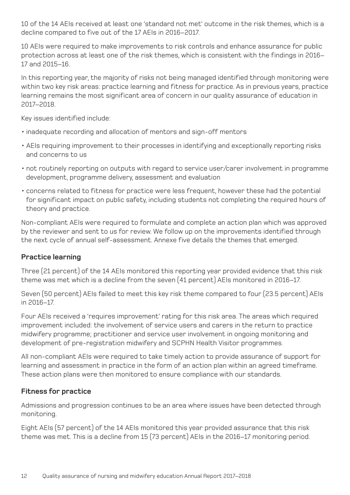10 of the 14 AEIs received at least one 'standard not met' outcome in the risk themes, which is a decline compared to five out of the 17 AEIs in 2016–2017.

10 AEIs were required to make improvements to risk controls and enhance assurance for public protection across at least one of the risk themes, which is consistent with the findings in 2016– 17 and 2015–16.

In this reporting year, the majority of risks not being managed identified through monitoring were within two key risk areas: practice learning and fitness for practice. As in previous years, practice learning remains the most significant area of concern in our quality assurance of education in 2017–2018.

Key issues identified include:

- inadequate recording and allocation of mentors and sign-off mentors
- AEIs requiring improvement to their processes in identifying and exceptionally reporting risks and concerns to us
- not routinely reporting on outputs with regard to service user/carer involvement in programme development, programme delivery, assessment and evaluation
- concerns related to fitness for practice were less frequent, however these had the potential for significant impact on public safety, including students not completing the required hours of theory and practice.

Non-compliant AEIs were required to formulate and complete an action plan which was approved by the reviewer and sent to us for review. We follow up on the improvements identified through the next cycle of annual self-assessment. Annexe five details the themes that emerged.

#### **Practice learning**

Three (21 percent) of the 14 AEIs monitored this reporting year provided evidence that this risk theme was met which is a decline from the seven (41 percent) AEIs monitored in 2016–17.

Seven (50 percent) AEIs failed to meet this key risk theme compared to four (23.5 percent) AEIs in 2016–17.

Four AEIs received a 'requires improvement' rating for this risk area. The areas which required improvement included: the involvement of service users and carers in the return to practice midwifery programme; practitioner and service user involvement in ongoing monitoring and development of pre-registration midwifery and SCPHN Health Visitor programmes.

All non-compliant AEIs were required to take timely action to provide assurance of support for learning and assessment in practice in the form of an action plan within an agreed timeframe. These action plans were then monitored to ensure compliance with our standards.

#### **Fitness for practice**

Admissions and progression continues to be an area where issues have been detected through monitoring.

Eight AEIs (57 percent) of the 14 AEIs monitored this year provided assurance that this risk theme was met. This is a decline from 15 (73 percent) AEIs in the 2016–17 monitoring period.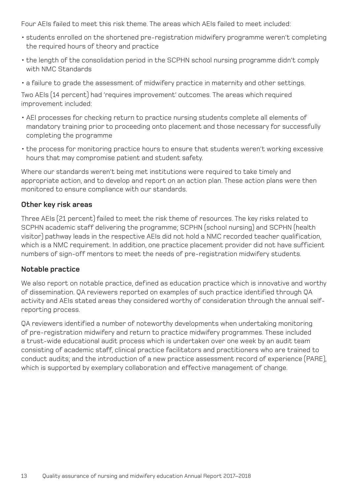Four AEIs failed to meet this risk theme. The areas which AEIs failed to meet included:

- students enrolled on the shortened pre-registration midwifery programme weren't completing the required hours of theory and practice
- the length of the consolidation period in the SCPHN school nursing programme didn't comply with NMC Standards
- a failure to grade the assessment of midwifery practice in maternity and other settings.

Two AEIs (14 percent) had 'requires improvement' outcomes. The areas which required improvement included:

- AEI processes for checking return to practice nursing students complete all elements of mandatory training prior to proceeding onto placement and those necessary for successfully completing the programme
- the process for monitoring practice hours to ensure that students weren't working excessive hours that may compromise patient and student safety.

Where our standards weren't being met institutions were required to take timely and appropriate action, and to develop and report on an action plan. These action plans were then monitored to ensure compliance with our standards.

#### **Other key risk areas**

Three AEIs (21 percent) failed to meet the risk theme of resources. The key risks related to SCPHN academic staff delivering the programme; SCPHN (school nursing) and SCPHN (health visitor) pathway leads in the respective AEIs did not hold a NMC recorded teacher qualification, which is a NMC requirement. In addition, one practice placement provider did not have sufficient numbers of sign-off mentors to meet the needs of pre-registration midwifery students.

#### **Notable practice**

We also report on notable practice, defined as education practice which is innovative and worthy of dissemination. QA reviewers reported on examples of such practice identified through QA activity and AEIs stated areas they considered worthy of consideration through the annual selfreporting process.

QA reviewers identified a number of noteworthy developments when undertaking monitoring of pre-registration midwifery and return to practice midwifery programmes. These included a trust-wide educational audit process which is undertaken over one week by an audit team consisting of academic staff, clinical practice facilitators and practitioners who are trained to conduct audits; and the introduction of a new practice assessment record of experience (PARE), which is supported by exemplary collaboration and effective management of change.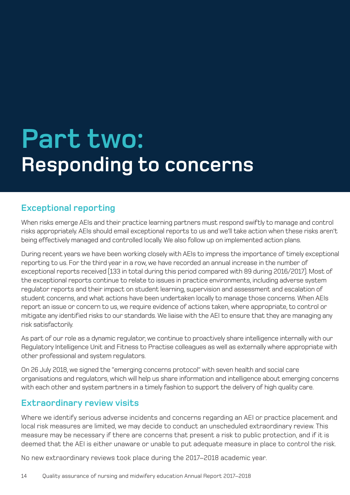## **Part two: Responding to concerns**

#### **Exceptional reporting**

When risks emerge AEIs and their practice learning partners must respond swiftly to manage and control risks appropriately. AEIs should email exceptional reports to us and we'll take action when these risks aren't being effectively managed and controlled locally. We also follow up on implemented action plans.

During recent years we have been working closely with AEIs to impress the importance of timely exceptional reporting to us. For the third year in a row, we have recorded an annual increase in the number of exceptional reports received (133 in total during this period compared with 89 during 2016/2017). Most of the exceptional reports continue to relate to issues in practice environments, including adverse system regulator reports and their impact on student learning, supervision and assessment and escalation of student concerns, and what actions have been undertaken locally to manage those concerns. When AEIs report an issue or concern to us, we require evidence of actions taken, where appropriate, to control or mitigate any identified risks to our standards. We liaise with the AEI to ensure that they are managing any risk satisfactorily.

As part of our role as a dynamic regulator, we continue to proactively share intelligence internally with our Regulatory Intelligence Unit and Fitness to Practise colleagues as well as externally where appropriate with other professional and system regulators.

On 26 July 2018, we signed the "emerging concerns protocol" with seven health and social care organisations and regulators, which will help us share information and intelligence about emerging concerns with each other and system partners in a timely fashion to support the delivery of high quality care.

#### **Extraordinary review visits**

Where we identify serious adverse incidents and concerns regarding an AEI or practice placement and local risk measures are limited, we may decide to conduct an unscheduled extraordinary review. This measure may be necessary if there are concerns that present a risk to public protection, and if it is deemed that the AEI is either unaware or unable to put adequate measure in place to control the risk.

No new extraordinary reviews took place during the 2017–2018 academic year.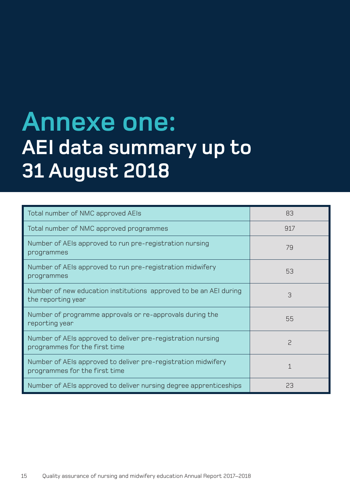### **Annexe one: AEI data summary up to 31 August 2018**

| Total number of NMC approved AEIs                                                              | 83  |
|------------------------------------------------------------------------------------------------|-----|
| Total number of NMC approved programmes                                                        | 917 |
| Number of AEIs approved to run pre-registration nursing<br>programmes                          | 79  |
| Number of AEIs approved to run pre-registration midwifery<br>programmes                        | 53  |
| Number of new education institutions approved to be an AEI during<br>the reporting year        | 3   |
| Number of programme approvals or re-approvals during the<br>reporting year                     | 55  |
| Number of AEIs approved to deliver pre-registration nursing<br>programmes for the first time   | S   |
| Number of AEIs approved to deliver pre-registration midwifery<br>programmes for the first time |     |
| Number of AEIs approved to deliver nursing degree apprenticeships                              | 23  |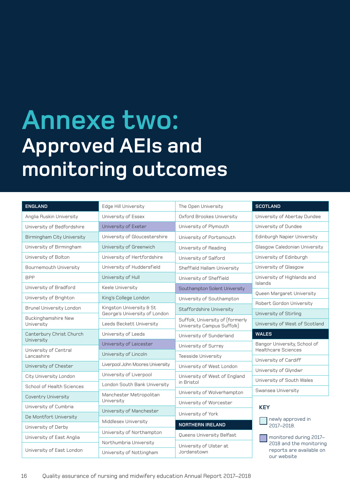### **Annexe two: Approved AEIs and monitoring outcomes**

| <b>ENGLAND</b>                                         | Edge Hill University                  | The Open University                                            | <b>SCOTLAND</b>                                                               |  |
|--------------------------------------------------------|---------------------------------------|----------------------------------------------------------------|-------------------------------------------------------------------------------|--|
| Anglia Ruskin University                               | University of Essex                   | Oxford Brookes University                                      | University of Abertay Dundee                                                  |  |
| University of Bedfordshire                             | University of Exeter                  | University of Plymouth                                         | University of Dundee                                                          |  |
| <b>Birmingham City University</b>                      | University of Gloucestershire         | University of Portsmouth                                       | Edinburgh Napier University                                                   |  |
| University of Birmingham                               | University of Greenwich               | University of Reading                                          | Glasgow Caledonian University                                                 |  |
| University of Bolton                                   | University of Hertfordshire           | University of Salford                                          | University of Edinburgh                                                       |  |
| Bournemouth University                                 | University of Huddersfield            | Sheffield Hallam University                                    | University of Glasgow                                                         |  |
| <b>BPP</b>                                             | University of Hull                    | University of Sheffield                                        | University of Highlands and<br>Islands                                        |  |
| University of Bradford                                 | Keele University                      | Southampton Solent University                                  |                                                                               |  |
| University of Brighton                                 | King's College London                 | University of Southampton                                      | Queen Margaret University                                                     |  |
| Brunel University London                               | Kingston University & St              | Staffordshire University                                       | Robert Gordon University                                                      |  |
| <b>Buckinghamshire New</b>                             | George's University of London         |                                                                | University of Stirling                                                        |  |
| University                                             | Leeds Beckett University              | Suffolk, University of (formerly<br>University Campus Suffolk) | University of West of Scotland                                                |  |
|                                                        |                                       |                                                                |                                                                               |  |
| Canterbury Christ Church                               | University of Leeds                   | University of Sunderland                                       | <b>WALES</b>                                                                  |  |
| University                                             | University of Leicester               | University of Surrey                                           | Bangor University, School of                                                  |  |
| University of Central<br>Lancashire                    | University of Lincoln                 | Teesside University                                            | <b>Healthcare Sciences</b>                                                    |  |
| University of Chester                                  | Liverpool John Moores University      | University of West London                                      | University of Cardiff                                                         |  |
|                                                        | University of Liverpool               |                                                                | University of Glyndwr                                                         |  |
| City University London                                 | London South Bank University          | University of West of England<br>in Bristol                    | University of South Wales                                                     |  |
| School of Health Sciences                              |                                       |                                                                | Swansea University                                                            |  |
| <b>Coventry University</b>                             | Manchester Metropolitan<br>University | University of Wolverhampton                                    |                                                                               |  |
| University of Cumbria                                  |                                       | University of Worcester                                        | <b>KEY</b>                                                                    |  |
| De Montfort University                                 | University of Manchester              | University of York                                             |                                                                               |  |
| University of Derby                                    | Middlesex University                  | <b>NORTHERN IRELAND</b>                                        | newly approved in<br>2017-2018.                                               |  |
|                                                        | University of Northampton             | Queens University Belfast                                      |                                                                               |  |
| University of East Anglia<br>University of East London | Northumbria University                | University of Ulster at                                        | monitored during 2017-<br>2018 and the monitoring<br>reports are available on |  |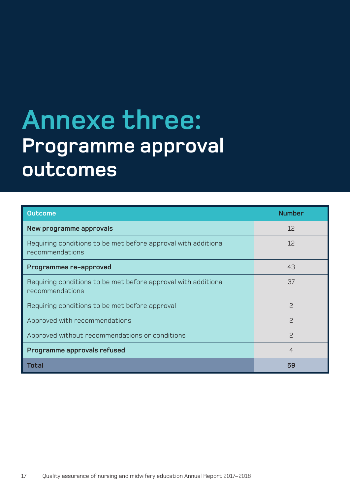### **Annexe three: Programme approval outcomes**

| <b>Outcome</b>                                                                    | <b>Number</b>  |
|-----------------------------------------------------------------------------------|----------------|
| New programme approvals                                                           | 12             |
| Requiring conditions to be met before approval with additional<br>recommendations | 12             |
| Programmes re-approved                                                            | 43             |
| Requiring conditions to be met before approval with additional<br>recommendations | 37             |
| Requiring conditions to be met before approval                                    | <sup>2</sup>   |
| Approved with recommendations                                                     | 2              |
| Approved without recommendations or conditions                                    | <sup>2</sup>   |
| Programme approvals refused                                                       | $\overline{4}$ |
| <b>Total</b>                                                                      | 59             |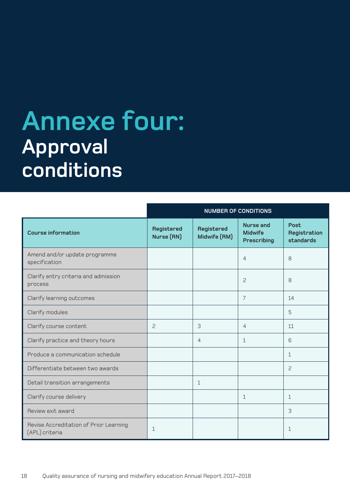## **Annexe four: Approval conditions**

|                                                          | <b>NUMBER OF CONDITIONS</b> |                            |                                                          |                                          |
|----------------------------------------------------------|-----------------------------|----------------------------|----------------------------------------------------------|------------------------------------------|
| <b>Course information</b>                                | Registered<br>Nurse (RN)    | Registered<br>Midwife (RM) | <b>Nurse and</b><br><b>Midwife</b><br><b>Prescribing</b> | <b>Post</b><br>Registration<br>standards |
| Amend and/or update programme<br>specification           |                             |                            | 4                                                        | 8                                        |
| Clarify entry criteria and admission<br>process          |                             |                            | 2                                                        | 8                                        |
| Clarify learning outcomes                                |                             |                            | $\overline{7}$                                           | 14                                       |
| Clarify modules                                          |                             |                            |                                                          | 5                                        |
| Clarify course content                                   | 2                           | 3                          | 4                                                        | 11                                       |
| Clarify practice and theory hours                        |                             | $\overline{4}$             | $\mathbf{1}$                                             | 6                                        |
| Produce a communication schedule                         |                             |                            |                                                          | $\mathbf{1}$                             |
| Differentiate between two awards                         |                             |                            |                                                          | $\mathsf{S}$                             |
| Detail transition arrangements                           |                             | $\mathbf{1}$               |                                                          |                                          |
| Clarify course delivery                                  |                             |                            | 1                                                        | $\mathbf{1}$                             |
| Review exit award                                        |                             |                            |                                                          | 3                                        |
| Revise Accreditation of Prior Learning<br>(APL) criteria | $\mathbf{1}$                |                            |                                                          | $\mathbf{1}$                             |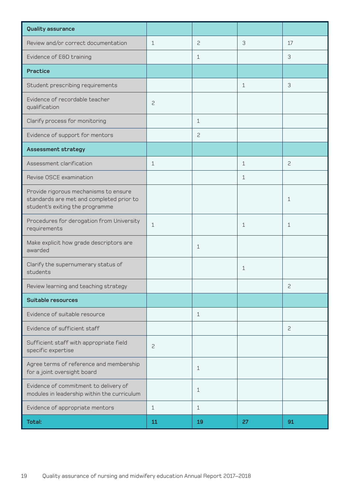| Quality assurance                                                                                                    |                |              |              |              |
|----------------------------------------------------------------------------------------------------------------------|----------------|--------------|--------------|--------------|
| Review and/or correct documentation                                                                                  | $\mathbf{1}$   | 2            | 3            | 17           |
| Evidence of E&D training                                                                                             |                | $\mathbf 1$  |              | 3            |
| <b>Practice</b>                                                                                                      |                |              |              |              |
| Student prescribing requirements                                                                                     |                |              | $\mathbf{1}$ | 3            |
| Evidence of recordable teacher<br>qualification                                                                      | $\overline{c}$ |              |              |              |
| Clarify process for monitoring                                                                                       |                | 1            |              |              |
| Evidence of support for mentors                                                                                      |                | 2            |              |              |
| <b>Assessment strategy</b>                                                                                           |                |              |              |              |
| Assessment clarification                                                                                             | $\mathbf{1}$   |              | 1            | 2            |
| Revise OSCE examination                                                                                              |                |              | 1            |              |
| Provide rigorous mechanisms to ensure<br>standards are met and completed prior to<br>student's exiting the programme |                |              |              | 1            |
| Procedures for derogation from University<br>requirements                                                            | $\mathbf{1}$   |              | 1            | $\mathbf{1}$ |
| Make explicit how grade descriptors are<br>awarded                                                                   |                | $\mathbf{1}$ |              |              |
| Clarify the supernumerary status of<br>students                                                                      |                |              | 1            |              |
| Review learning and teaching strategy                                                                                |                |              |              | 2            |
| <b>Suitable resources</b>                                                                                            |                |              |              |              |
| Evidence of suitable resource                                                                                        |                | $\mathbf{1}$ |              |              |
| Evidence of sufficient staff                                                                                         |                |              |              | 2            |
| Sufficient staff with appropriate field<br>specific expertise                                                        | $\overline{c}$ |              |              |              |
| Agree terms of reference and membership<br>for a joint oversight board                                               |                | $\mathbf{1}$ |              |              |
| Evidence of commitment to delivery of<br>modules in leadership within the curriculum                                 |                | 1            |              |              |
| Evidence of appropriate mentors                                                                                      | $\mathbf{1}$   | $\mathbf{1}$ |              |              |
| Total:                                                                                                               | 11             | 19           | 27           | 91           |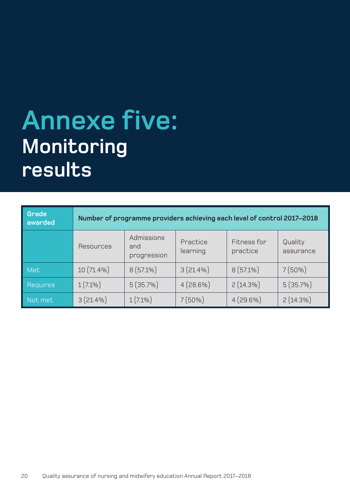### **Annexe five: Monitoring results**

| Grade<br>awarded | Number of programme providers achieving each level of control 2017-2018 |                                  |                      |                         |                      |
|------------------|-------------------------------------------------------------------------|----------------------------------|----------------------|-------------------------|----------------------|
|                  | Resources                                                               | Admissions<br>and<br>progression | Practice<br>learning | Fitness for<br>practice | Quality<br>assurance |
| <b>Met</b>       | $10(71.4\%)$                                                            | $8(57.1\%)$                      | $3(21.4\%)$          | $8(57.1\%)$             | $7(50\%)$            |
| <b>Requires</b>  | $1(7.1\%)$                                                              | 5(35.7%)                         | $4(28.6\%)$          | $2(14.3\%)$             | 5(35.7%)             |
| Not met          | $3(21.4\%)$                                                             | $1(7.1\%)$                       | $7(50\%)$            | $4(29.6\%)$             | $2(14.3\%)$          |